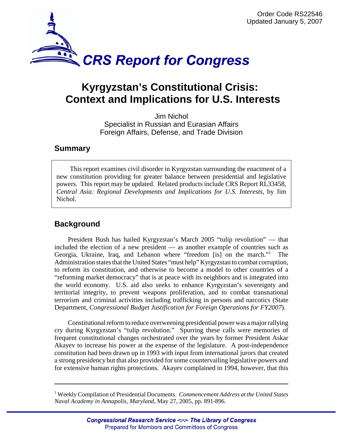

# **Kyrgyzstan's Constitutional Crisis: Context and Implications for U.S. Interests**

Jim Nichol Specialist in Russian and Eurasian Affairs Foreign Affairs, Defense, and Trade Division

### **Summary**

This report examines civil disorder in Kyrgyzstan surrounding the enactment of a new constitution providing for greater balance between presidential and legislative powers. This report may be updated. Related products include CRS Report RL33458, *Central Asia: Regional Developments and Implications for U.S. Interests*, by Jim Nichol.

# **Background**

President Bush has hailed Kyrgyzstan's March 2005 "tulip revolution" — that included the election of a new president — as another example of countries such as Georgia, Ukraine, Iraq, and Lebanon where "freedom [is] on the march."<sup>1</sup> The Administration states that the United States "must help" Kyrgyzstan to combat corruption, to reform its constitution, and otherwise to become a model to other countries of a "reforming market democracy" that is at peace with its neighbors and is integrated into the world economy. U.S. aid also seeks to enhance Kyrgyzstan's sovereignty and territorial integrity, to prevent weapons proliferation, and to combat transnational terrorism and criminal activities including trafficking in persons and narcotics (State Department, *Congressional Budget Justification for Foreign Operations for FY2007*).

Constitutional reform to reduce overweening presidential power was a major rallying cry during Kyrgyzstan's "tulip revolution." Spurring these calls were memories of frequent constitutional changes orchestrated over the years by former President Askar Akayev to increase his power at the expense of the legislature. A post-independence constitution had been drawn up in 1993 with input from international jurors that created a strong presidency but that also provided for some countervailing legislative powers and for extensive human rights protections. Akayev complained in 1994, however, that this

<sup>1</sup> Weekly Compilation of Presidential Documents. *Commencement Address at the United States Naval Academy in Annapolis, Maryland*, May 27, 2005, pp. 891-896.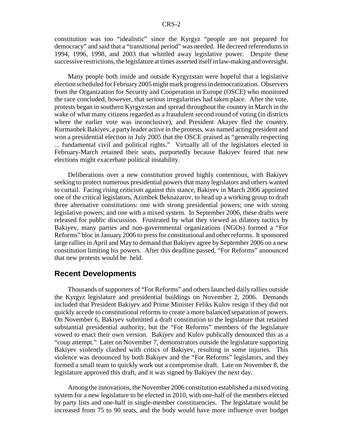constitution was too "idealistic" since the Kyrgyz "people are not prepared for democracy" and said that a "transitional period" was needed. He decreed referendums in 1994, 1996, 1998, and 2003 that whittled away legislative power. Despite these successive restrictions, the legislature at times asserted itself in law-making and oversight.

Many people both inside and outside Kyrgyzstan were hopeful that a legislative election scheduled for February 2005 might mark progress in democratization. Observers from the Organization for Security and Cooperation in Europe (OSCE) who monitored the race concluded, however, that serious irregularities had taken place. After the vote, protests began in southern Kyrgyzstan and spread throughout the country in March in the wake of what many citizens regarded as a fraudulent second round of voting (in districts where the earlier vote was inconclusive), and President Akayev fled the country. Kurmanbek Bakiyev, a party leader active in the protests, was named acting president and won a presidential election in July 2005 that the OSCE praised as "generally respecting ... fundamental civil and political rights." Virtually all of the legislators elected in February-March retained their seats, purportedly because Bakiyev feared that new elections might exacerbate political instability.

Deliberations over a new constitution proved highly contentious, with Bakiyev seeking to protect numerous presidential powers that many legislators and others wanted to curtail. Facing rising criticism against this stance, Bakiyev in March 2006 appointed one of the critical legislators, Azimbek Beknazarov, to head up a working group to draft three alternative constitutions: one with strong presidential powers; one with strong legislative powers; and one with a mixed system. In September 2006, these drafts were released for public discussion. Frustrated by what they viewed as dilatory tactics by Bakiyev, many parties and non-governmental organizations (NGOs) formed a "For Reforms" bloc in January 2006 to press for constitutional and other reforms. It sponsored large rallies in April and May to demand that Bakiyev agree by September 2006 on a new constitution limiting his powers. After this deadline passed, "For Reforms" announced that new protests would be held.

#### **Recent Developments**

Thousands of supporters of "For Reforms" and others launched daily rallies outside the Kyrgyz legislature and presidential buildings on November 2, 2006. Demands included that President Bakiyev and Prime Minister Feliks Kulov resign if they did not quickly accede to constitutional reforms to create a more balanced separation of powers. On November 6, Bakiyev submitted a draft constitution to the legislature that retained substantial presidential authority, but the "For Reforms" members of the legislature vowed to enact their own version. Bakiyev and Kulov publically denounced this as a "coup attempt." Later on November 7, demonstrators outside the legislature supporting Bakiyev violently clashed with critics of Bakiyev, resulting in some injuries. This violence was denounced by both Bakiyev and the "For Reforms" legislators, and they formed a small team to quickly work out a compromise draft. Late on November 8, the legislature approved this draft, and it was signed by Bakiyev the next day.

Among the innovations, the November 2006 constitution established a mixed voting system for a new legislature to be elected in 2010, with one-half of the members elected by party lists and one-half in single-member constituencies. The legislature would be increased from 75 to 90 seats, and the body would have more influence over budget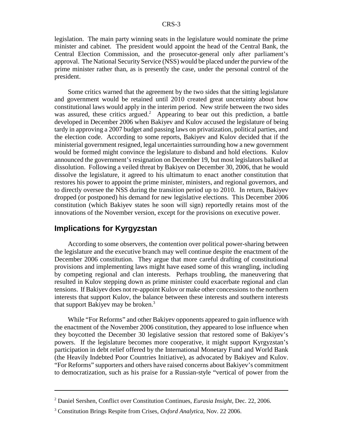legislation. The main party winning seats in the legislature would nominate the prime minister and cabinet. The president would appoint the head of the Central Bank, the Central Election Commission, and the prosecutor-general only after parliament's approval. The National Security Service (NSS) would be placed under the purview of the prime minister rather than, as is presently the case, under the personal control of the president.

Some critics warned that the agreement by the two sides that the sitting legislature and government would be retained until 2010 created great uncertainty about how constitutional laws would apply in the interim period. New strife between the two sides was assured, these critics argued.<sup>2</sup> Appearing to bear out this prediction, a battle developed in December 2006 when Bakiyev and Kulov accused the legislature of being tardy in approving a 2007 budget and passing laws on privatization, political parties, and the election code. According to some reports, Bakiyev and Kulov decided that if the ministerial government resigned, legal uncertainties surrounding how a new government would be formed might convince the legislature to disband and hold elections. Kulov announced the government's resignation on December 19, but most legislators balked at dissolution. Following a veiled threat by Bakiyev on December 30, 2006, that he would dissolve the legislature, it agreed to his ultimatum to enact another constitution that restores his power to appoint the prime minister, ministers, and regional governors, and to directly oversee the NSS during the transition period up to 2010. In return, Bakiyev dropped (or postponed) his demand for new legislative elections. This December 2006 constitution (which Bakiyev states he soon will sign) reportedly retains most of the innovations of the November version, except for the provisions on executive power.

## **Implications for Kyrgyzstan**

According to some observers, the contention over political power-sharing between the legislature and the executive branch may well continue despite the enactment of the December 2006 constitution. They argue that more careful drafting of constitutional provisions and implementing laws might have eased some of this wrangling, including by competing regional and clan interests. Perhaps troubling, the maneuvering that resulted in Kulov stepping down as prime minister could exacerbate regional and clan tensions. If Bakiyev does not re-appoint Kulov or make other concessions to the northern interests that support Kulov, the balance between these interests and southern interests that support Bakiyev may be broken.<sup>3</sup>

While "For Reforms" and other Bakiyev opponents appeared to gain influence with the enactment of the November 2006 constitution, they appeared to lose influence when they boycotted the December 30 legislative session that restored some of Bakiyev's powers. If the legislature becomes more cooperative, it might support Kyrgyzstan's participation in debt relief offered by the International Monetary Fund and World Bank (the Heavily Indebted Poor Countries Initiative), as advocated by Bakiyev and Kulov. "For Reforms" supporters and others have raised concerns about Bakiyev's commitment to democratization, such as his praise for a Russian-style "vertical of power from the

<sup>2</sup> Daniel Sershen, Conflict over Constitution Continues, *Eurasia Insight*, Dec. 22, 2006.

<sup>3</sup> Constitution Brings Respite from Crises, *Oxford Analytica*, Nov. 22 2006.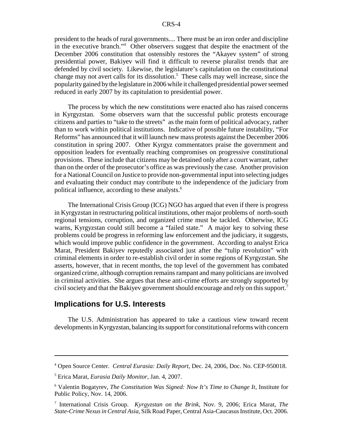president to the heads of rural governments.... There must be an iron order and discipline in the executive branch."<sup>4</sup> Other observers suggest that despite the enactment of the December 2006 constitution that ostensibly restores the "Akayev system" of strong presidential power, Bakiyev will find it difficult to reverse pluralist trends that are defended by civil society. Likewise, the legislature's capitulation on the constitutional change may not avert calls for its dissolution.<sup>5</sup> These calls may well increase, since the popularity gained by the legislature in 2006 while it challenged presidential power seemed reduced in early 2007 by its capitulation to presidential power.

The process by which the new constitutions were enacted also has raised concerns in Kyrgyzstan. Some observers warn that the successful public protests encourage citizens and parties to "take to the streets" as the main form of political advocacy, rather than to work within political institutions. Indicative of possible future instability, "For Reforms" has announced that it will launch new mass protests against the December 2006 constitution in spring 2007. Other Kyrgyz commentators praise the government and opposition leaders for eventually reaching compromises on progressive constitutional provisions. These include that citizens may be detained only after a court warrant, rather than on the order of the prosecutor's office as was previously the case. Another provision for a National Council on Justice to provide non-governmental input into selecting judges and evaluating their conduct may contribute to the independence of the judiciary from political influence, according to these analysts.<sup>6</sup>

The International Crisis Group (ICG) NGO has argued that even if there is progress in Kyrgyzstan in restructuring political institutions, other major problems of north-south regional tensions, corruption, and organized crime must be tackled. Otherwise, ICG warns, Kyrgyzstan could still become a "failed state." A major key to solving these problems could be progress in reforming law enforcement and the judiciary, it suggests, which would improve public confidence in the government. According to analyst Erica Marat, President Bakiyev reputedly associated just after the "tulip revolution" with criminal elements in order to re-establish civil order in some regions of Kyrgyzstan. She asserts, however, that in recent months, the top level of the government has combated organized crime, although corruption remains rampant and many politicians are involved in criminal activities. She argues that these anti-crime efforts are strongly supported by civil society and that the Bakiyev government should encourage and rely on this support.<sup>7</sup>

#### **Implications for U.S. Interests**

The U.S. Administration has appeared to take a cautious view toward recent developments in Kyrgyzstan, balancing its support for constitutional reforms with concern

<sup>4</sup> Open Source Center. *Central Eurasia: Daily Report*, Dec. 24, 2006, Doc. No. CEP-950018.

<sup>5</sup> Erica Marat, *Eurasia Daily Monitor*, Jan. 4, 2007.

<sup>6</sup> Valentin Bogatyrev, *The Constitution Was Signed: Now It's Time to Change It*, Institute for Public Policy, Nov. 14, 2006.

<sup>7</sup> International Crisis Group. *Kyrgyzstan on the Brink*, Nov. 9, 2006; Erica Marat, *The State-Crime Nexus in Central Asia*, Silk Road Paper, Central Asia-Caucasus Institute, Oct. 2006.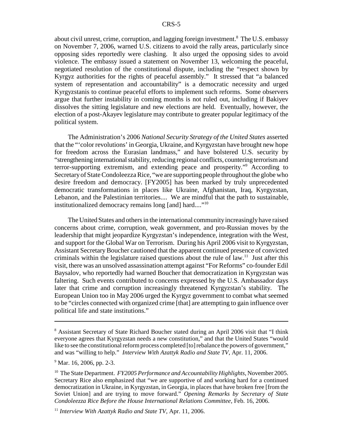about civil unrest, crime, corruption, and lagging foreign investment.<sup>8</sup> The U.S. embassy on November 7, 2006, warned U.S. citizens to avoid the rally areas, particularly since opposing sides reportedly were clashing. It also urged the opposing sides to avoid violence. The embassy issued a statement on November 13, welcoming the peaceful, negotiated resolution of the constitutional dispute, including the "respect shown by Kyrgyz authorities for the rights of peaceful assembly." It stressed that "a balanced system of representation and accountability" is a democratic necessity and urged Kyrgyzstanis to continue peaceful efforts to implement such reforms. Some observers argue that further instability in coming months is not ruled out, including if Bakiyev dissolves the sitting legislature and new elections are held. Eventually, however, the election of a post-Akayev legislature may contribute to greater popular legitimacy of the political system.

The Administration's 2006 *National Security Strategy of the United States* asserted that the "'color revolutions' in Georgia, Ukraine, and Kyrgyzstan have brought new hope for freedom across the Eurasian landmass," and have bolstered U.S. security by "strengthening international stability, reducing regional conflicts, countering terrorism and terror-supporting extremism, and extending peace and prosperity."9 According to Secretary of State Condoleezza Rice, "we are supporting people throughout the globe who desire freedom and democracy. [FY2005] has been marked by truly unprecedented democratic transformations in places like Ukraine, Afghanistan, Iraq, Kyrgyzstan, Lebanon, and the Palestinian territories.... We are mindful that the path to sustainable, institutionalized democracy remains long [and] hard...."<sup>10</sup>

The United States and others in the international community increasingly have raised concerns about crime, corruption, weak government, and pro-Russian moves by the leadership that might jeopardize Kyrgyzstan's independence, integration with the West, and support for the Global War on Terrorism. During his April 2006 visit to Kyrgyzstan, Assistant Secretary Boucher cautioned that the apparent continued presence of convicted criminals within the legislature raised questions about the rule of  $law<sup>11</sup>$  Just after this visit, there was an unsolved assassination attempt against "For Reforms" co-founder Edil Baysalov, who reportedly had warned Boucher that democratization in Kyrgyzstan was faltering. Such events contributed to concerns expressed by the U.S. Ambassador days later that crime and corruption increasingly threatened Kyrgyzstan's stability. The European Union too in May 2006 urged the Kyrgyz government to combat what seemed to be "circles connected with organized crime [that] are attempting to gain influence over political life and state institutions."

<sup>&</sup>lt;sup>8</sup> Assistant Secretary of State Richard Boucher stated during an April 2006 visit that "I think everyone agrees that Kyrgyzstan needs a new constitution," and that the United States "would like to see the constitutional reform process completed [to] rebalance the powers of government," and was "willing to help." *Interview With Azattyk Radio and State TV*, Apr. 11, 2006.

<sup>&</sup>lt;sup>9</sup> Mar. 16, 2006, pp. 2-3.

<sup>10</sup> The State Department. *FY2005 Performance and Accountability Highlights*, November 2005. Secretary Rice also emphasized that "we are supportive of and working hard for a continued democratization in Ukraine, in Kyrgyzstan, in Georgia, in places that have broken free [from the Soviet Union] and are trying to move forward." *Opening Remarks by Secretary of State Condoleezza Rice Before the House International Relations Committee*, Feb. 16, 2006.

<sup>11</sup> *Interview With Azattyk Radio and State TV*, Apr. 11, 2006.